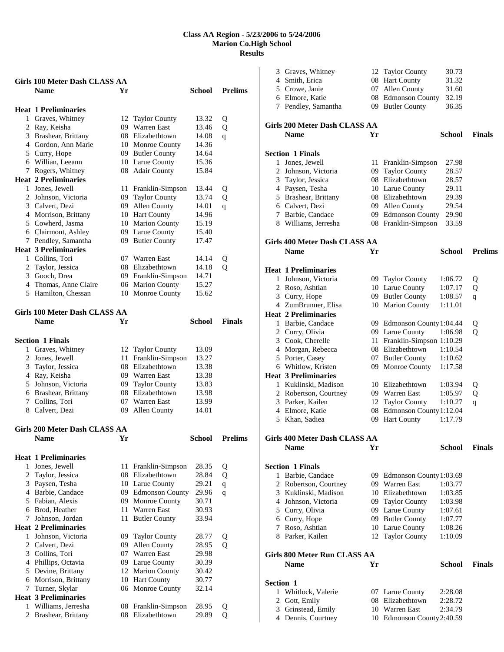|   | Girls 100 Meter Dash CLASS AA        |    |                      |               |                |
|---|--------------------------------------|----|----------------------|---------------|----------------|
|   | <b>Name</b>                          | Yr |                      | School        | <b>Prelims</b> |
|   |                                      |    |                      |               |                |
|   | <b>Heat 1 Preliminaries</b>          |    |                      |               |                |
|   | 1 Graves, Whitney                    |    | 12 Taylor County     | 13.32         |                |
|   | 2 Ray, Keisha                        |    | 09 Warren East       | 13.46         | Q<br>Q         |
|   | 3 Brashear, Brittany                 |    | 08 Elizabethtown     | 14.08         |                |
|   | 4 Gordon, Ann Marie                  |    | 10 Monroe County     | 14.36         | q              |
|   | 5 Curry, Hope                        |    | 09 Butler County     | 14.64         |                |
|   | 6 Willian, Leeann                    |    | 10 Larue County      | 15.36         |                |
|   | 7 Rogers, Whitney                    |    | 08 Adair County      | 15.84         |                |
|   | <b>Heat 2 Preliminaries</b>          |    |                      |               |                |
|   | 1 Jones, Jewell                      |    |                      | 13.44         |                |
|   |                                      |    | 11 Franklin-Simpson  |               | Q              |
|   | 2 Johnson, Victoria                  |    | 09 Taylor County     | 13.74         | Q              |
|   | 3 Calvert, Dezi                      |    | 09 Allen County      | 14.01         | $\mathsf{q}$   |
|   | 4 Morrison, Brittany                 |    | 10 Hart County       | 14.96         |                |
|   | 5 Cowherd, Jasma                     |    | 10 Marion County     | 15.19         |                |
|   | 6 Clairmont, Ashley                  |    | 09 Larue County      | 15.40         |                |
|   | 7 Pendley, Samantha                  |    | 09 Butler County     | 17.47         |                |
|   | <b>Heat 3 Preliminaries</b>          |    |                      |               |                |
|   | 1 Collins, Tori                      |    | 07 Warren East       | 14.14         | Q              |
|   | 2 Taylor, Jessica                    |    | 08 Elizabethtown     | 14.18         | $\mathbf{O}$   |
|   | 3 Gooch, Drea                        |    | 09 Franklin-Simpson  | 14.71         |                |
|   | 4 Thomas, Anne Claire                |    | 06 Marion County     | 15.27         |                |
|   | 5 Hamilton, Chessan                  |    | 10 Monroe County     | 15.62         |                |
|   |                                      |    |                      |               |                |
|   | Girls 100 Meter Dash CLASS AA        |    |                      |               |                |
|   | <b>Name</b>                          | Yr |                      | <b>School</b> | <b>Finals</b>  |
|   |                                      |    |                      |               |                |
|   | <b>Section 1 Finals</b>              |    |                      |               |                |
|   | 1 Graves, Whitney                    |    | 12 Taylor County     | 13.09         |                |
|   | 2 Jones, Jewell                      | 11 | Franklin-Simpson     | 13.27         |                |
|   | 3 Taylor, Jessica                    | 08 | Elizabethtown        | 13.38         |                |
|   | 4 Ray, Keisha                        |    | 09 Warren East       | 13.38         |                |
|   | 5 Johnson, Victoria                  |    | 09 Taylor County     | 13.83         |                |
|   | 6 Brashear, Brittany                 |    | 08 Elizabethtown     | 13.98         |                |
|   | 7 Collins, Tori                      | 07 | <b>Warren East</b>   | 13.99         |                |
|   | 8 Calvert, Dezi                      | 09 | Allen County         | 14.01         |                |
|   |                                      |    |                      |               |                |
|   |                                      |    |                      |               |                |
|   | <b>Girls 200 Meter Dash CLASS AA</b> |    |                      |               |                |
|   | <b>Name</b>                          | Yr |                      | School        | <b>Prelims</b> |
|   |                                      |    |                      |               |                |
|   | <b>Heat 1 Preliminaries</b>          |    |                      |               |                |
|   | 1 Jones, Jewell                      |    | 11 Franklin-Simpson  | 28.35         | Q              |
|   | 2 Taylor, Jessica                    |    | 08 Elizabethtown     | 28.84         | Q              |
|   | 3 Paysen, Tesha                      |    | 10 Larue County      | 29.21         | $\mathbf q$    |
|   | 4 Barbie, Candace                    |    | 09 Edmonson County   | 29.96         | $\mathbf q$    |
|   | 5 Fabian, Alexis                     |    | 09 Monroe County     | 30.71         |                |
|   | 6 Brod, Heather                      | 11 | Warren East          | 30.93         |                |
|   | 7 Johnson, Jordan                    | 11 | <b>Butler County</b> | 33.94         |                |
|   | <b>Heat 2 Preliminaries</b>          |    |                      |               |                |
|   | 1 Johnson, Victoria                  | 09 | <b>Taylor County</b> | 28.77         | Q              |
|   | 2 Calvert, Dezi                      | 09 | Allen County         | 28.95         | Q              |
|   | 3 Collins, Tori                      |    | 07 Warren East       | 29.98         |                |
|   | 4 Phillips, Octavia                  |    | 09 Larue County      | 30.39         |                |
|   | 5 Devine, Brittany                   |    | 12 Marion County     | 30.42         |                |
|   | 6 Morrison, Brittany                 |    | 10 Hart County       | 30.77         |                |
|   | 7 Turner, Skylar                     |    | 06 Monroe County     | 32.14         |                |
|   | <b>Heat 3 Preliminaries</b>          |    |                      |               |                |
|   | 1 Williams, Jerresha                 |    | 08 Franklin-Simpson  | 28.95         | Q              |
| 2 | Brashear, Brittany                   |    | 08 Elizabethtown     | 29.89         | $\mathbf{O}$   |

|           | 3 Graves, Whitney             | 12 | <b>Taylor County</b>        | 30.73         |                |
|-----------|-------------------------------|----|-----------------------------|---------------|----------------|
|           | 4 Smith, Erica                |    | 08 Hart County              | 31.32         |                |
|           | 5 Crowe, Janie                |    | 07 Allen County             | 31.60         |                |
|           | 6 Elmore, Katie               |    | 08 Edmonson County          | 32.19         |                |
|           | 7 Pendley, Samantha           |    | 09 Butler County            | 36.35         |                |
|           | Girls 200 Meter Dash CLASS AA |    |                             |               |                |
|           | <b>Name</b>                   | Yr |                             | School        | <b>Finals</b>  |
|           | <b>Section 1 Finals</b>       |    |                             |               |                |
|           | 1 Jones, Jewell               | 11 | Franklin-Simpson            | 27.98         |                |
|           | 2 Johnson, Victoria           |    | 09 Taylor County            | 28.57         |                |
|           | 3 Taylor, Jessica             |    | 08 Elizabethtown            | 28.57         |                |
|           | 4 Paysen, Tesha               |    | 10 Larue County             | 29.11         |                |
|           | 5 Brashear, Brittany          |    | 08 Elizabethtown            | 29.39         |                |
|           | 6 Calvert, Dezi               |    | 09 Allen County             | 29.54         |                |
|           | 7 Barbie, Candace             |    | 09 Edmonson County          | 29.90         |                |
|           | 8 Williams, Jerresha          |    | 08 Franklin-Simpson         | 33.59         |                |
|           | Girls 400 Meter Dash CLASS AA |    |                             |               |                |
|           | <b>Name</b>                   | Yr |                             | <b>School</b> | <b>Prelims</b> |
|           | <b>Heat 1 Preliminaries</b>   |    |                             |               |                |
|           | 1 Johnson, Victoria           |    | 09 Taylor County            | 1:06.72       | Q              |
|           | 2 Roso, Ashtian               |    | 10 Larue County             | 1:07.17       | Q              |
|           | 3 Curry, Hope                 |    | 09 Butler County            | 1:08.57       | q              |
|           | 4 ZumBrunner, Elisa           |    | 10 Marion County            | 1:11.01       |                |
|           | <b>Heat 2 Preliminaries</b>   |    |                             |               |                |
|           | 1 Barbie, Candace             |    | 09 Edmonson County 1:04.44  |               | Q              |
|           | 2 Curry, Olivia               |    | 09 Larue County             | 1:06.98       | Q              |
|           | 3 Cook, Cherelle              |    | 11 Franklin-Simpson 1:10.29 |               |                |
|           | 4 Morgan, Rebecca             |    | 08 Elizabethtown            | 1:10.54       |                |
|           | 5 Porter, Casey               |    | 07 Butler County            | 1:10.62       |                |
|           | 6 Whitlow, Kristen            |    | 09 Monroe County            | 1:17.58       |                |
|           | <b>Heat 3 Preliminaries</b>   |    |                             |               |                |
|           | 1 Kuklinski, Madison          |    | 10 Elizabethtown            | 1:03.94       | Q              |
|           | 2 Robertson, Courtney         |    | 09 Warren East              | 1:05.97       | Q              |
|           | 3 Parker, Kailen              |    | 12 Taylor County            | 1:10.27       | $\mathbf{q}$   |
|           | 4 Elmore, Katie               | 08 | Edmonson County 1:12.04     |               |                |
|           | 5 Khan, Sadiea                |    | 09 Hart County              | 1:17.79       |                |
|           | Girls 400 Meter Dash CLASS AA |    |                             |               |                |
|           | <b>Name</b>                   | Yr |                             | School        | <b>Finals</b>  |
|           | <b>Section 1 Finals</b>       |    |                             |               |                |
|           | 1 Barbie, Candace             |    | 09 Edmonson County 1:03.69  |               |                |
|           | 2 Robertson, Courtney         |    | 09 Warren East              | 1:03.77       |                |
|           | 3 Kuklinski, Madison          |    | 10 Elizabethtown            | 1:03.85       |                |
|           | 4 Johnson, Victoria           |    | 09 Taylor County            | 1:03.98       |                |
|           | 5 Curry, Olivia               |    | 09 Larue County             | 1:07.61       |                |
|           | 6 Curry, Hope                 |    | 09 Butler County            | 1:07.77       |                |
|           | 7 Roso, Ashtian               |    | 10 Larue County             | 1:08.26       |                |
|           | 8 Parker, Kailen              |    | 12 Taylor County            | 1:10.09       |                |
|           | Girls 800 Meter Run CLASS AA  |    |                             |               |                |
|           | <b>Name</b>                   | Yr |                             | School        | <b>Finals</b>  |
| Section 1 |                               |    |                             |               |                |
|           | 1 Whitlock, Valerie           |    | 07 Larue County             | 2:28.08       |                |
|           | 2 Gott, Emily                 |    | 08 Elizabethtown            | 2:28.72       |                |
|           | 3 Grinstead, Emily            |    | 10 Warren East              | 2:34.79       |                |
|           | 4 Dennis, Courtney            |    | 10 Edmonson County 2:40.59  |               |                |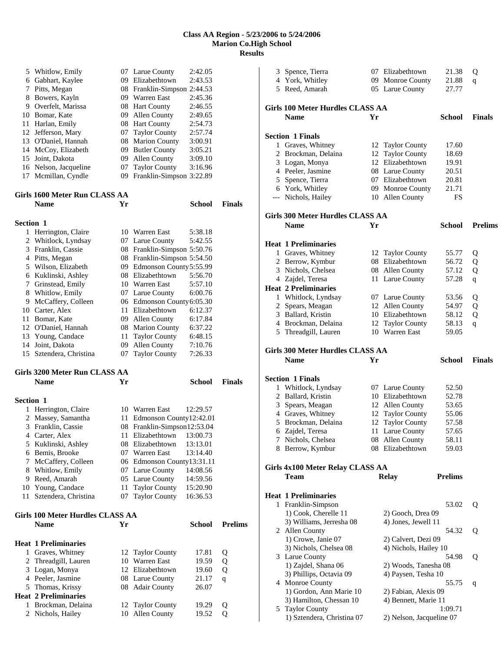|                | 5 Whitlow, Emily                 |    | 07 Larue County                 | 2:42.05       |                |
|----------------|----------------------------------|----|---------------------------------|---------------|----------------|
|                | 6 Gabhart, Kaylee                |    | 09 Elizabethtown                | 2:43.53       |                |
|                | 7 Pitts, Megan                   |    | 08 Franklin-Simpson 2:44.53     |               |                |
|                | 8 Bowers, Kayln                  |    | 09 Warren East                  | 2:45.36       |                |
|                | 9 Overfelt, Marissa              |    | 08 Hart County                  | 2:46.55       |                |
|                | 10 Bomar, Kate                   |    | 09 Allen County                 | 2:49.65       |                |
|                |                                  |    |                                 |               |                |
|                | 11 Harlan, Emily                 |    | 08 Hart County                  | 2:54.73       |                |
|                | 12 Jefferson, Mary               | 07 | <b>Taylor County</b>            | 2:57.74       |                |
|                | 13 O'Daniel, Hannah              | 08 | <b>Marion County</b>            | 3:00.91       |                |
|                | 14 McCoy, Elizabeth              |    | 09 Butler County                | 3:05.21       |                |
|                | 15 Joint, Dakota                 |    | 09 Allen County                 | 3:09.10       |                |
|                | 16 Nelson, Jacqueline            | 07 | <b>Taylor County</b>            | 3:16.96       |                |
| 17             | Mcmillan, Cyndle                 | 09 | Franklin-Simpson 3:22.89        |               |                |
|                |                                  |    |                                 |               |                |
|                | Girls 1600 Meter Run CLASS AA    |    |                                 |               |                |
|                | <b>Name</b>                      | Yr |                                 | School        | <b>Finals</b>  |
|                |                                  |    |                                 |               |                |
|                |                                  |    |                                 |               |                |
| Section 1      |                                  |    |                                 |               |                |
|                | 1 Herrington, Claire             |    | 10 Warren East                  | 5:38.18       |                |
|                | 2 Whitlock, Lyndsay              |    | 07 Larue County                 | 5:42.55       |                |
|                | 3 Franklin, Cassie               |    | 08 Franklin-Simpson 5:50.76     |               |                |
|                | 4 Pitts, Megan                   |    | 08 Franklin-Simpson 5:54.50     |               |                |
|                | 5 Wilson, Elizabeth              |    | 09 Edmonson County 5:55.99      |               |                |
|                | 6 Kuklinski, Ashley              |    | 08 Elizabethtown                | 5:56.70       |                |
|                | 7 Grinstead, Emily               |    | 10 Warren East                  | 5:57.10       |                |
|                |                                  |    |                                 |               |                |
|                | 8 Whitlow, Emily                 |    | 07 Larue County                 | 6:00.76       |                |
|                | 9 McCaffery, Colleen             |    | 06 Edmonson County 6:05.30      |               |                |
|                | 10 Carter, Alex                  | 11 | Elizabethtown                   | 6:12.37       |                |
|                | 11 Bomar, Kate                   | 09 | Allen County                    | 6:17.84       |                |
|                | 12 O'Daniel, Hannah              |    | 08 Marion County                | 6:37.22       |                |
|                | 13 Young, Candace                | 11 | <b>Taylor County</b>            | 6:48.15       |                |
|                | 14 Joint, Dakota                 | 09 | Allen County                    | 7:10.76       |                |
| 15             | Sztendera, Christina             | 07 | <b>Taylor County</b>            | 7:26.33       |                |
|                |                                  |    |                                 |               |                |
|                |                                  |    |                                 |               |                |
|                |                                  |    |                                 |               |                |
|                | Girls 3200 Meter Run CLASS AA    |    |                                 |               |                |
|                | Name                             | Yr |                                 | <b>School</b> | <b>Finals</b>  |
|                |                                  |    |                                 |               |                |
| Section 1      |                                  |    |                                 |               |                |
|                | 1 Herrington, Claire             |    | 10 Warren East                  | 12:29.57      |                |
|                | 2 Massey, Samantha               | 11 | Edmonson County12:42.01         |               |                |
|                | 3 Franklin, Cassie               |    | 08 Franklin-Simpson12:53.04     |               |                |
|                |                                  |    | 11 Elizabethtown 13:00.73       |               |                |
|                | 4 Carter, Alex                   |    |                                 |               |                |
|                | 5 Kuklinski, Ashley              | 07 | 08 Elizabethtown<br>Warren East | 13:13.01      |                |
|                | 6 Bemis, Brooke                  |    |                                 | 13:14.40      |                |
| 7              | McCaffery, Colleen               | 06 | Edmonson County13:31.11         |               |                |
|                | 8 Whitlow, Emily                 |    | 07 Larue County                 | 14:08.56      |                |
|                | 9 Reed, Amarah                   |    | 05 Larue County                 | 14:59.56      |                |
|                | 10 Young, Candace                | 11 | <b>Taylor County</b>            | 15:20.90      |                |
| 11             | Sztendera, Christina             | 07 | <b>Taylor County</b>            | 16:36.53      |                |
|                |                                  |    |                                 |               |                |
|                | Girls 100 Meter Hurdles CLASS AA |    |                                 |               |                |
|                | <b>Name</b>                      | Yr |                                 | <b>School</b> | <b>Prelims</b> |
|                |                                  |    |                                 |               |                |
|                |                                  |    |                                 |               |                |
|                | <b>Heat 1 Preliminaries</b>      |    |                                 |               |                |
| $\mathbf{1}$   | Graves, Whitney                  | 12 | <b>Taylor County</b>            | 17.81         | Q              |
| $\overline{2}$ | Threadgill, Lauren               | 10 | Warren East                     | 19.59         | Q              |
|                | 3 Logan, Monya                   | 12 | Elizabethtown                   | 19.60         | Q              |
|                | 4 Peeler, Jasmine                |    | 08 Larue County                 | 21.17         | $\overline{q}$ |
|                | 5 Thomas, Krissy                 | 08 | <b>Adair County</b>             | 26.07         |                |
|                | <b>Heat 2 Preliminaries</b>      |    |                                 |               |                |
| 1              | Brockman, Delaina                | 12 | <b>Taylor County</b>            | 19.29         | Q              |
|                | 2 Nichols, Hailey                | 10 | Allen County                    | 19.52         | Q              |

| 3 | Spence, Tierra                                |    | 07 Elizabethtown         | 21.38          | Q              |
|---|-----------------------------------------------|----|--------------------------|----------------|----------------|
|   | 4 York, Whitley                               |    | 09 Monroe County         | 21.88          | q              |
|   | 5 Reed, Amarah                                |    | 05 Larue County          | 27.77          |                |
|   |                                               |    |                          |                |                |
|   | <b>Girls 100 Meter Hurdles CLASS AA</b>       |    |                          |                |                |
|   | <b>Name</b>                                   | Yr |                          | <b>School</b>  | <b>Finals</b>  |
|   |                                               |    |                          |                |                |
|   | <b>Section 1 Finals</b>                       |    |                          |                |                |
|   | 1 Graves, Whitney                             |    | 12 Taylor County         | 17.60          |                |
|   | 2 Brockman, Delaina                           |    | 12 Taylor County         | 18.69          |                |
|   | 3 Logan, Monya                                |    | 12 Elizabethtown         | 19.91          |                |
|   | 4 Peeler, Jasmine                             |    | 08 Larue County          | 20.51          |                |
|   | 5 Spence, Tierra                              |    | 07 Elizabethtown         | 20.81          |                |
|   | 6 York, Whitley                               |    | 09 Monroe County         | 21.71          |                |
|   | --- Nichols, Hailey                           |    | 10 Allen County          | FS             |                |
|   |                                               |    |                          |                |                |
|   | Girls 300 Meter Hurdles CLASS AA              |    |                          |                |                |
|   | <b>Name</b>                                   | Yr |                          | <b>School</b>  | <b>Prelims</b> |
|   |                                               |    |                          |                |                |
|   | <b>Heat 1 Preliminaries</b>                   |    |                          |                |                |
|   | 1 Graves, Whitney                             |    | 12 Taylor County         | 55.77          | Q              |
|   | 2 Berrow, Kymbur                              |    | 08 Elizabethtown         | 56.72          | Q              |
|   | 3 Nichols, Chelsea                            |    | 08 Allen County          | 57.12          | Q              |
|   | 4 Zajdel, Teresa                              | 11 | Larue County             | 57.28          | q              |
|   | <b>Heat 2 Preliminaries</b>                   |    |                          |                |                |
|   | 1 Whitlock, Lyndsay                           |    | 07 Larue County          | 53.56          | Q              |
|   | 2 Spears, Meagan                              |    | 12 Allen County          | 54.97          | Q              |
|   | 3 Ballard, Kristin                            |    | 10 Elizabethtown         | 58.12          | Q              |
|   | 4 Brockman, Delaina                           | 12 | <b>Taylor County</b>     | 58.13          | q              |
|   | 5 Threadgill, Lauren                          |    | 10 Warren East           | 59.05          |                |
|   |                                               |    |                          |                |                |
|   |                                               |    |                          |                |                |
|   | <b>Girls 300 Meter Hurdles CLASS AA</b>       |    |                          |                |                |
|   | <b>Name</b>                                   | Yr |                          | School         | <b>Finals</b>  |
|   |                                               |    |                          |                |                |
|   | <b>Section 1 Finals</b>                       |    |                          |                |                |
|   | 1 Whitlock, Lyndsay                           |    | 07 Larue County          | 52.50          |                |
|   | 2 Ballard, Kristin                            |    | 10 Elizabethtown         | 52.78          |                |
|   | 3 Spears, Meagan                              |    | 12 Allen County          | 53.65          |                |
|   | 4 Graves, Whitney                             |    | 12 Taylor County         | 55.06          |                |
|   | 5 Brockman, Delaina                           | 12 | <b>Taylor County</b>     | 57.58          |                |
|   | 6 Zajdel, Teresa                              | 11 | Larue County             | 57.65          |                |
| 7 | Nichols, Chelsea                              |    | 08 Allen County          | 58.11          |                |
| 8 | Berrow, Kymbur                                |    | 08 Elizabethtown         | 59.03          |                |
|   |                                               |    |                          |                |                |
|   | Girls 4x100 Meter Relay CLASS AA              |    |                          |                |                |
|   | Team                                          |    | <b>Relay</b>             | <b>Prelims</b> |                |
|   |                                               |    |                          |                |                |
|   | <b>Heat 1 Preliminaries</b>                   |    |                          |                |                |
| 1 | Franklin-Simpson                              |    |                          | 53.02          | Q              |
|   | 1) Cook, Cherelle 11                          |    | 2) Gooch, Drea 09        |                |                |
|   | 3) Williams, Jerresha 08                      |    | 4) Jones, Jewell 11      |                |                |
|   | 2 Allen County                                |    |                          | 54.32          | Q              |
|   | 1) Crowe, Janie 07                            |    | 2) Calvert, Dezi 09      |                |                |
|   | 3) Nichols, Chelsea 08                        |    | 4) Nichols, Hailey 10    |                |                |
|   | 3 Larue County                                |    |                          | 54.98          | Q              |
|   | 1) Zajdel, Shana 06                           |    | 2) Woods, Tanesha 08     |                |                |
|   | 3) Phillips, Octavia 09                       |    | 4) Paysen, Tesha 10      |                |                |
|   | 4 Monroe County                               |    |                          | 55.75          | q              |
|   | 1) Gordon, Ann Marie 10                       |    | 2) Fabian, Alexis 09     |                |                |
|   | 3) Hamilton, Chessan 10                       |    | 4) Bennett, Marie 11     |                |                |
|   | 5 Taylor County<br>1) Sztendera, Christina 07 |    | 2) Nelson, Jacqueline 07 | 1:09.71        |                |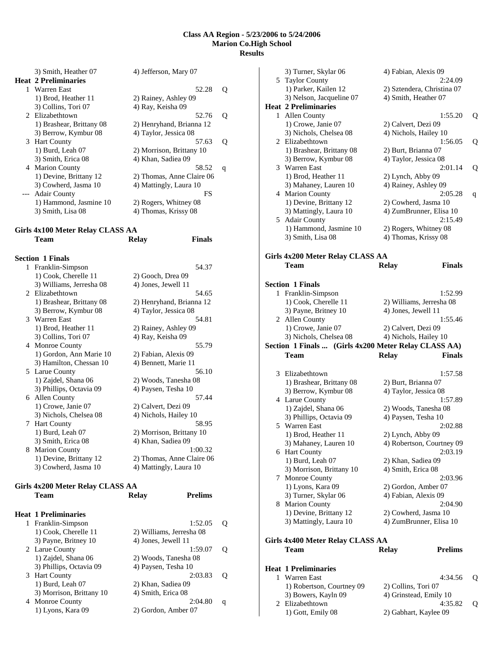|   | 3) Smith, Heather 07                              | 4) Jefferson, Mary 07     |   |
|---|---------------------------------------------------|---------------------------|---|
|   | <b>Heat 2 Preliminaries</b>                       |                           |   |
|   | 1 Warren East                                     | 52.28                     | 0 |
|   | 1) Brod, Heather 11                               | 2) Rainey, Ashley 09      |   |
|   | 3) Collins, Tori 07                               | 4) Ray, Keisha 09         |   |
|   | 2 Elizabethtown                                   | 52.76                     | Q |
|   | 1) Brashear, Brittany 08                          | 2) Henryhand, Brianna 12  |   |
|   | 3) Berrow, Kymbur 08                              | 4) Taylor, Jessica 08     |   |
|   | 3 Hart County                                     | 57.63                     | O |
|   | 1) Burd, Leah 07                                  | 2) Morrison, Brittany 10  |   |
|   | 3) Smith, Erica 08                                | 4) Khan, Sadiea 09        |   |
| 4 | <b>Marion County</b>                              | 58.52                     | q |
|   | 1) Devine, Brittany 12                            | 2) Thomas, Anne Claire 06 |   |
|   | 3) Cowherd, Jasma 10                              | 4) Mattingly, Laura 10    |   |
|   | <b>Adair County</b>                               | FS                        |   |
|   | 1) Hammond, Jasmine 10                            | 2) Rogers, Whitney 08     |   |
|   | 3) Smith, Lisa 08                                 | 4) Thomas, Krissy 08      |   |
|   |                                                   |                           |   |
|   | $C^{1114100}$ M $1$ D $1$ $C^{11}$ A $C^{11111C}$ |                           |   |

#### **Girls 4x100 Meter Relay CLASS AA Team Relay Finals**

|    | <b>Section 1 Finals</b>  |                           |
|----|--------------------------|---------------------------|
| 1  | Franklin-Simpson         | 54.37                     |
|    | 1) Cook, Cherelle 11     | 2) Gooch, Drea 09         |
|    | 3) Williams, Jerresha 08 | 4) Jones, Jewell 11       |
|    | 2 Elizabethtown          | 54.65                     |
|    | 1) Brashear, Brittany 08 | 2) Henryhand, Brianna 12  |
|    | 3) Berrow, Kymbur 08     | 4) Taylor, Jessica 08     |
|    | 3 Warren East            | 54.81                     |
|    | 1) Brod, Heather 11      | 2) Rainey, Ashley 09      |
|    | 3) Collins, Tori 07      | 4) Ray, Keisha 09         |
|    | 4 Monroe County          | 55.79                     |
|    | 1) Gordon, Ann Marie 10  | 2) Fabian, Alexis 09      |
|    | 3) Hamilton, Chessan 10  | 4) Bennett, Marie 11      |
| 5  | Larue County             | 56.10                     |
|    | 1) Zajdel, Shana 06      | 2) Woods, Tanesha 08      |
|    | 3) Phillips, Octavia 09  | 4) Paysen, Tesha 10       |
|    | 6 Allen County           | 57.44                     |
|    | 1) Crowe, Janie 07       | 2) Calvert, Dezi 09       |
|    | 3) Nichols, Chelsea 08   | 4) Nichols, Hailey 10     |
| 7  | <b>Hart County</b>       | 58.95                     |
|    | 1) Burd, Leah 07         | 2) Morrison, Brittany 10  |
|    | 3) Smith, Erica 08       | 4) Khan, Sadiea 09        |
| 8. | <b>Marion County</b>     | 1:00.32                   |
|    | 1) Devine, Brittany 12   | 2) Thomas, Anne Claire 06 |
|    | 3) Cowherd, Jasma 10     | 4) Mattingly, Laura 10    |

# **Girls 4x200 Meter Relay CLASS AA**

|              | Team                        | Relav                    | <b>Prelims</b> |   |
|--------------|-----------------------------|--------------------------|----------------|---|
|              | <b>Heat 1 Preliminaries</b> |                          |                |   |
| $\mathbf{1}$ | Franklin-Simpson            |                          | 1:52.05        | Ő |
|              | 1) Cook, Cherelle 11        | 2) Williams, Jerresha 08 |                |   |
|              | 3) Payne, Britney 10        | 4) Jones, Jewell 11      |                |   |
|              | 2 Larue County              |                          | 1:59.07        | Ő |
|              | 1) Zajdel, Shana 06         | 2) Woods, Tanesha 08     |                |   |
|              | 3) Phillips, Octavia 09     | 4) Paysen, Tesha 10      |                |   |
| 3            | <b>Hart County</b>          |                          | 2:03.83        | Ő |
|              | 1) Burd, Leah 07            | 2) Khan, Sadiea 09       |                |   |
|              | 3) Morrison, Brittany 10    | 4) Smith, Erica 08       |                |   |
| 4            | <b>Monroe County</b>        |                          | 2:04.80        | q |
|              | 1) Lyons, Kara 09           | 2) Gordon, Amber 07      |                |   |

|   | 3) Turner, Skylar 06                   | 4) Fabian, Alexis 09                                 |    |
|---|----------------------------------------|------------------------------------------------------|----|
| 5 | <b>Taylor County</b>                   | 2:24.09                                              |    |
|   | 1) Parker, Kailen 12                   | 2) Sztendera, Christina 07                           |    |
|   | 3) Nelson, Jacqueline 07               | 4) Smith, Heather 07                                 |    |
|   | <b>Heat 2 Preliminaries</b>            |                                                      |    |
| 1 | Allen County                           | 1:55.20                                              | Q  |
|   | 1) Crowe, Janie 07                     | 2) Calvert, Dezi 09                                  |    |
|   | 3) Nichols, Chelsea 08                 | 4) Nichols, Hailey 10                                |    |
|   | 2 Elizabethtown                        | 1:56.05                                              | Q  |
|   | 1) Brashear, Brittany 08               | 2) Burt, Brianna 07                                  |    |
|   | 3) Berrow, Kymbur 08                   | 4) Taylor, Jessica 08                                |    |
|   | 3 Warren East                          | 2:01.14                                              | Q  |
|   | 1) Brod, Heather 11                    | 2) Lynch, Abby 09                                    |    |
|   | 3) Mahaney, Lauren 10                  | 4) Rainey, Ashley 09                                 |    |
|   | 4 Marion County                        | 2:05.28                                              | q  |
|   | 1) Devine, Brittany 12                 | 2) Cowherd, Jasma 10                                 |    |
|   | 3) Mattingly, Laura 10                 | 4) ZumBrunner, Elisa 10                              |    |
|   | 5 Adair County                         | 2:15.49                                              |    |
|   | 1) Hammond, Jasmine 10                 | 2) Rogers, Whitney 08                                |    |
|   | 3) Smith, Lisa 08                      | 4) Thomas, Krissy 08                                 |    |
|   |                                        |                                                      |    |
|   | Girls 4x200 Meter Relay CLASS AA       |                                                      |    |
|   | Team                                   | <b>Finals</b><br><b>Relay</b>                        |    |
|   |                                        |                                                      |    |
|   |                                        |                                                      |    |
|   | <b>Section 1 Finals</b>                |                                                      |    |
| 1 | Franklin-Simpson                       | 1:52.99                                              |    |
|   | 1) Cook, Cherelle 11                   | 2) Williams, Jerresha 08                             |    |
|   | 3) Payne, Britney 10                   | 4) Jones, Jewell 11                                  |    |
|   | 2 Allen County                         | 1:55.46                                              |    |
|   | 1) Crowe, Janie 07                     | 2) Calvert, Dezi 09                                  |    |
|   | 3) Nichols, Chelsea 08                 | 4) Nichols, Hailey 10                                |    |
|   |                                        | Section 1 Finals  (Girls 4x200 Meter Relay CLASS AA) |    |
|   | <b>Team</b>                            | <b>Relay</b><br><b>Finals</b>                        |    |
|   |                                        |                                                      |    |
| 3 | Elizabethtown                          | 1:57.58                                              |    |
|   | 1) Brashear, Brittany 08               |                                                      |    |
|   |                                        | 2) Burt, Brianna 07                                  |    |
|   | 3) Berrow, Kymbur 08                   | 4) Taylor, Jessica 08                                |    |
|   | 4 Larue County                         | 1:57.89                                              |    |
|   | 1) Zajdel, Shana 06                    | 2) Woods, Tanesha 08                                 |    |
|   | 3) Phillips, Octavia 09                | 4) Paysen, Tesha 10                                  |    |
| 5 | Warren East                            | 2:02.88                                              |    |
|   | 1) Brod, Heather 11                    | 2) Lynch, Abby 09                                    |    |
|   | 3) Mahaney, Lauren 10                  | 4) Robertson, Courtney 09                            |    |
|   | 6 Hart County                          | 2:03.19                                              |    |
|   | 1) Burd, Leah 07                       | 2) Khan, Sadiea 09                                   |    |
|   | 3) Morrison, Brittany 10               | 4) Smith, Erica 08                                   |    |
|   | 7 Monroe County                        | 2:03.96                                              |    |
|   | 1) Lyons, Kara 09                      | 2) Gordon, Amber 07                                  |    |
|   | 3) Turner, Skylar 06                   | 4) Fabian, Alexis 09                                 |    |
| 8 | <b>Marion County</b>                   | 2:04.90                                              |    |
|   | 1) Devine, Brittany 12                 | 2) Cowherd, Jasma 10                                 |    |
|   | 3) Mattingly, Laura 10                 | 4) ZumBrunner, Elisa 10                              |    |
|   |                                        |                                                      |    |
|   | Girls 4x400 Meter Relay CLASS AA       |                                                      |    |
|   | Team                                   | <b>Prelims</b><br><b>Relay</b>                       |    |
|   |                                        |                                                      |    |
|   | <b>Heat 1 Preliminaries</b>            |                                                      |    |
| 1 | Warren East                            | 4:34.56                                              | Q  |
|   | 1) Robertson, Courtney 09              | 2) Collins, Tori 07                                  |    |
|   | 3) Bowers, Kayln 09<br>2 Elizabethtown | 4) Grinstead, Emily 10<br>4:35.82                    | Q. |

1) Gott, Emily 08 2) Gabhart, Kaylee 09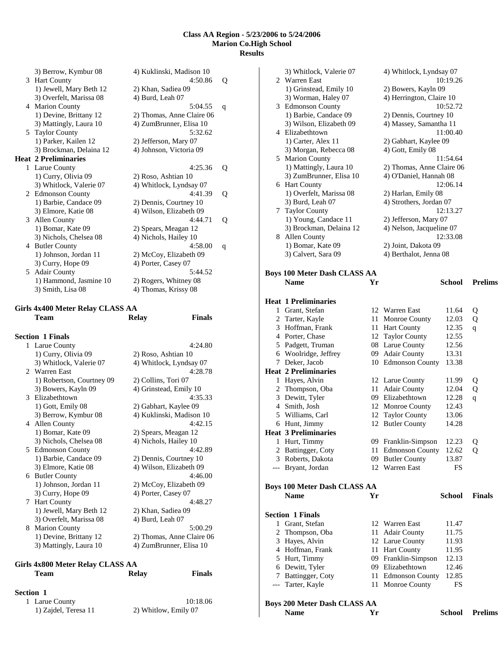|   | 3) Berrow, Kymbur 08                     | 4) Kuklinski, Madison 10<br>4:50.86    |   |
|---|------------------------------------------|----------------------------------------|---|
|   | 3 Hart County<br>1) Jewell, Mary Beth 12 |                                        | Q |
|   | 3) Overfelt, Marissa 08                  | 2) Khan, Sadiea 09<br>4) Burd, Leah 07 |   |
|   |                                          |                                        |   |
|   | 4 Marion County                          | 5:04.55                                | q |
|   | 1) Devine, Brittany 12                   | 2) Thomas, Anne Claire 06              |   |
|   | 3) Mattingly, Laura 10                   | 4) ZumBrunner, Elisa 10                |   |
|   | 5 Taylor County                          | 5:32.62                                |   |
|   | 1) Parker, Kailen 12                     | 2) Jefferson, Mary 07                  |   |
|   | 3) Brockman, Delaina 12                  | 4) Johnson, Victoria 09                |   |
|   | <b>Heat 2 Preliminaries</b>              |                                        |   |
|   | 1 Larue County                           | 4:25.36                                | Q |
|   | 1) Curry, Olivia 09                      | 2) Roso, Ashtian 10                    |   |
|   | 3) Whitlock, Valerie 07                  | 4) Whitlock, Lyndsay 07                |   |
|   | 2 Edmonson County                        | 4:41.39                                | Q |
|   | 1) Barbie, Candace 09                    | 2) Dennis, Courtney 10                 |   |
|   | 3) Elmore, Katie 08                      | 4) Wilson, Elizabeth 09                |   |
|   | 3 Allen County                           | 4:44.71                                | 0 |
|   | 1) Bomar, Kate 09                        | 2) Spears, Meagan 12                   |   |
|   | 3) Nichols, Chelsea 08                   | 4) Nichols, Hailey 10                  |   |
| 4 | <b>Butler County</b>                     | 4:58.00                                | q |
|   | 1) Johnson, Jordan 11                    | 2) McCoy, Elizabeth 09                 |   |
|   | 3) Curry, Hope 09                        | 4) Porter, Casey 07                    |   |
|   | 5 Adair County                           | 5:44.52                                |   |
|   | 1) Hammond, Jasmine 10                   | 2) Rogers, Whitney 08                  |   |
|   | 3) Smith, Lisa 08                        | 4) Thomas, Krissy 08                   |   |
|   |                                          |                                        |   |

# **Girls 4x400 Meter Relay CLASS AA**

| Team                    | <b>Relay</b>                                                                                                                                                                                                                             | <b>Finals</b>                                                                                                                                                                                                                                                                                                                                                                      |
|-------------------------|------------------------------------------------------------------------------------------------------------------------------------------------------------------------------------------------------------------------------------------|------------------------------------------------------------------------------------------------------------------------------------------------------------------------------------------------------------------------------------------------------------------------------------------------------------------------------------------------------------------------------------|
| <b>Section 1 Finals</b> |                                                                                                                                                                                                                                          |                                                                                                                                                                                                                                                                                                                                                                                    |
|                         |                                                                                                                                                                                                                                          | 4:24.80                                                                                                                                                                                                                                                                                                                                                                            |
| 1) Curry, Olivia 09     |                                                                                                                                                                                                                                          |                                                                                                                                                                                                                                                                                                                                                                                    |
|                         |                                                                                                                                                                                                                                          |                                                                                                                                                                                                                                                                                                                                                                                    |
| 2. Warren East          |                                                                                                                                                                                                                                          | 4:28.78                                                                                                                                                                                                                                                                                                                                                                            |
|                         |                                                                                                                                                                                                                                          |                                                                                                                                                                                                                                                                                                                                                                                    |
|                         |                                                                                                                                                                                                                                          |                                                                                                                                                                                                                                                                                                                                                                                    |
| 3 Elizabethtown         |                                                                                                                                                                                                                                          | 4:35.33                                                                                                                                                                                                                                                                                                                                                                            |
|                         |                                                                                                                                                                                                                                          |                                                                                                                                                                                                                                                                                                                                                                                    |
|                         |                                                                                                                                                                                                                                          |                                                                                                                                                                                                                                                                                                                                                                                    |
| 4 Allen County          |                                                                                                                                                                                                                                          | 4:42.15                                                                                                                                                                                                                                                                                                                                                                            |
| 1) Bomar, Kate 09       |                                                                                                                                                                                                                                          |                                                                                                                                                                                                                                                                                                                                                                                    |
| 3) Nichols, Chelsea 08  |                                                                                                                                                                                                                                          |                                                                                                                                                                                                                                                                                                                                                                                    |
| 5 Edmonson County       |                                                                                                                                                                                                                                          | 4:42.89                                                                                                                                                                                                                                                                                                                                                                            |
| 1) Barbie, Candace 09   |                                                                                                                                                                                                                                          |                                                                                                                                                                                                                                                                                                                                                                                    |
| 3) Elmore, Katie 08     |                                                                                                                                                                                                                                          |                                                                                                                                                                                                                                                                                                                                                                                    |
|                         |                                                                                                                                                                                                                                          | 4:46.00                                                                                                                                                                                                                                                                                                                                                                            |
| 1) Johnson, Jordan 11   |                                                                                                                                                                                                                                          |                                                                                                                                                                                                                                                                                                                                                                                    |
| 3) Curry, Hope 09       |                                                                                                                                                                                                                                          |                                                                                                                                                                                                                                                                                                                                                                                    |
| 7                       |                                                                                                                                                                                                                                          | 4:48.27                                                                                                                                                                                                                                                                                                                                                                            |
|                         |                                                                                                                                                                                                                                          |                                                                                                                                                                                                                                                                                                                                                                                    |
| 3) Overfelt, Marissa 08 |                                                                                                                                                                                                                                          |                                                                                                                                                                                                                                                                                                                                                                                    |
| 8 Marion County         |                                                                                                                                                                                                                                          | 5:00.29                                                                                                                                                                                                                                                                                                                                                                            |
|                         |                                                                                                                                                                                                                                          |                                                                                                                                                                                                                                                                                                                                                                                    |
| 3) Mattingly, Laura 10  | 4) ZumBrunner, Elisa 10                                                                                                                                                                                                                  |                                                                                                                                                                                                                                                                                                                                                                                    |
|                         | 1 Larue County<br>3) Whitlock, Valerie 07<br>1) Robertson, Courtney 09<br>3) Bowers, Kayln 09<br>1) Gott, Emily 08<br>3) Berrow, Kymbur 08<br>6 Butler County<br><b>Hart County</b><br>1) Jewell, Mary Beth 12<br>1) Devine, Brittany 12 | 2) Roso, Ashtian 10<br>4) Whitlock, Lyndsay 07<br>2) Collins, Tori 07<br>4) Grinstead, Emily 10<br>2) Gabhart, Kaylee 09<br>4) Kuklinski, Madison 10<br>2) Spears, Meagan 12<br>4) Nichols, Hailey 10<br>2) Dennis, Courtney 10<br>4) Wilson, Elizabeth 09<br>2) McCoy, Elizabeth 09<br>4) Porter, Casey 07<br>2) Khan, Sadiea 09<br>4) Burd, Leah 07<br>2) Thomas, Anne Claire 06 |

### **Girls 4x800 Meter Relay CLASS AA Team Relay Finals**

#### **Section 1**

| 1 Larue County       | 10:18.06             |
|----------------------|----------------------|
| 1) Zajdel, Teresa 11 | 2) Whitlow, Emily 07 |

| 3) Whitlock, Valerie 07             |    | 4) Whitlock, Lyndsay 07   |               |                       |
|-------------------------------------|----|---------------------------|---------------|-----------------------|
| 2 Warren East                       |    |                           | 10:19.26      |                       |
| 1) Grinstead, Emily 10              |    | 2) Bowers, Kayln 09       |               |                       |
| 3) Worman, Haley 07                 |    | 4) Herrington, Claire 10  |               |                       |
| 3 Edmonson County                   |    |                           | 10:52.72      |                       |
| 1) Barbie, Candace 09               |    | 2) Dennis, Courtney 10    |               |                       |
| 3) Wilson, Elizabeth 09             |    | 4) Massey, Samantha 11    |               |                       |
| 4 Elizabethtown                     |    |                           | 11:00.40      |                       |
| 1) Carter, Alex 11                  |    | 2) Gabhart, Kaylee 09     |               |                       |
| 3) Morgan, Rebecca 08               |    | 4) Gott, Emily 08         |               |                       |
| 5 Marion County                     |    |                           | 11:54.64      |                       |
| 1) Mattingly, Laura 10              |    | 2) Thomas, Anne Claire 06 |               |                       |
| 3) ZumBrunner, Elisa 10             |    | 4) O'Daniel, Hannah 08    |               |                       |
| 6 Hart County                       |    |                           | 12:06.14      |                       |
| 1) Overfelt, Marissa 08             |    | 2) Harlan, Emily 08       |               |                       |
| 3) Burd, Leah 07                    |    | 4) Strothers, Jordan 07   |               |                       |
| 7 Taylor County                     |    |                           | 12:13.27      |                       |
| 1) Young, Candace 11                |    | 2) Jefferson, Mary 07     |               |                       |
| 3) Brockman, Delaina 12             |    | 4) Nelson, Jacqueline 07  |               |                       |
| 8 Allen County                      |    |                           | 12:33.08      |                       |
| 1) Bomar, Kate 09                   |    | 2) Joint, Dakota 09       |               |                       |
| 3) Calvert, Sara 09                 |    | 4) Berthalot, Jenna 08    |               |                       |
|                                     |    |                           |               |                       |
| <b>Boys 100 Meter Dash CLASS AA</b> |    |                           |               |                       |
| <b>Name</b>                         | Yr |                           | School        | <b>Prelims</b>        |
| <b>Heat 1 Preliminaries</b>         |    |                           |               |                       |
| 1 Grant, Stefan                     | 12 | Warren East               | 11.64         | Q                     |
| 2 Tarter, Kayle                     | 11 | <b>Monroe County</b>      | 12.03         | Q                     |
| 3 Hoffman, Frank                    | 11 | <b>Hart County</b>        | 12.35         | q                     |
| 4 Porter, Chase                     |    | 12 Taylor County          | 12.55         |                       |
| 5 Padgett, Truman                   |    | 08 Larue County           | 12.56         |                       |
| 6 Woolridge, Jeffrey                |    | 09 Adair County           | 13.31         |                       |
| 7 Deker, Jacob                      |    | 10 Edmonson County        | 13.38         |                       |
| <b>Heat 2 Preliminaries</b>         |    |                           |               |                       |
| 1 Hayes, Alvin                      |    | 12 Larue County           | 11.99         | Q                     |
| 2 Thompson, Oba                     | 11 | <b>Adair County</b>       | 12.04         | Q                     |
| 3 Dewitt, Tyler                     |    | 09 Elizabethtown          | 12.28         | q                     |
| 4 Smith, Josh                       |    | 12 Monroe County          | 12.43         |                       |
| 5 Williams, Carl                    |    | 12 Taylor County          | 13.06         |                       |
| 6 Hunt, Jimmy                       | 12 | <b>Butler County</b>      | 14.28         |                       |
| <b>Heat 3 Preliminaries</b>         |    |                           |               |                       |
| 1 Hurt, Timmy                       |    | 09 Franklin-Simpson       | 12.23         | Q                     |
| 2 Battingger, Coty                  |    | 11 Edmonson County        | 12.62         | Q                     |
| 3 Roberts, Dakota                   |    | 09 Butler County          | 13.87         |                       |
| --- Bryant, Jordan                  |    | 12 Warren East            | FS            |                       |
|                                     |    |                           |               |                       |
| <b>Boys 100 Meter Dash CLASS AA</b> |    |                           |               |                       |
| <b>Name</b>                         | Yr |                           | <b>School</b> | <b>Finals</b>         |
| <b>Section 1 Finals</b>             |    |                           |               |                       |
| 1 Grant, Stefan                     |    | 12 Warren East            | 11.47         |                       |
| 2 Thompson, Oba                     | 11 | <b>Adair County</b>       | 11.75         |                       |
| 3 Hayes, Alvin                      |    | 12 Larue County           | 11.93         |                       |
| 4 Hoffman, Frank                    |    | 11 Hart County            | 11.95         |                       |
| 5 Hurt, Timmy                       |    | 09 Franklin-Simpson       | 12.13         |                       |
| 6 Dewitt, Tyler                     |    | 09 Elizabethtown          | 12.46         |                       |
| 7 Battingger, Coty                  |    | 11 Edmonson County        | 12.85         |                       |
| --- Tarter, Kayle                   |    | 11 Monroe County          | FS            |                       |
|                                     |    |                           |               |                       |
| <b>Boys 200 Meter Dash CLASS AA</b> |    |                           |               |                       |
| <b>Name</b>                         | Yr |                           |               | <b>School Prelims</b> |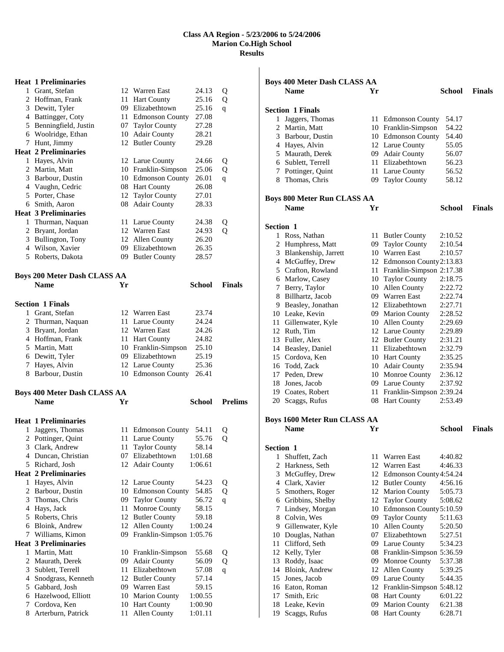## **Heat 1 Preliminaries**  1 Grant, Stefan 12 Warren East 24.13 Q Hoffman, Frank 11 Hart County 25.16 Q Dewitt, Tyler 09 Elizabethtown 25.16 q Battingger, Coty 11 Edmonson County 27.08 Benningfield, Justin 07 Taylor County 27.28 Woolridge, Ethan 10 Adair County 28.21 Hunt, Jimmy 12 Butler County 29.28 **Heat 2 Preliminaries**  Hayes, Alvin 12 Larue County 24.66 Q Martin, Matt 10 Franklin-Simpson 25.06 Q Barbour, Dustin 10 Edmonson County 26.01 q Vaughn, Cedric 08 Hart County 26.08 5 Porter, Chase 12 Taylor County 27.01 Smith, Aaron 08 Adair County 28.33 **Heat 3 Preliminaries**  1 Thurman, Naquan 11 Larue County 24.38 Q Bryant, Jordan 12 Warren East 24.93 Q Bullington, Tony 12 Allen County 26.20 Wilson, Xavier 09 Elizabethtown 26.35 Roberts, Dakota 09 Butler County 28.57 **Boys 200 Meter Dash CLASS AA Name Yr School Finals Section 1 Finals**  Grant, Stefan 12 Warren East 23.74 2 Thurman, Naquan 11 Larue County 24.24 Bryant, Jordan 12 Warren East 24.26 4 Hoffman, Frank 11 Hart County 24.82 Martin, Matt 10 Franklin-Simpson 25.10 Dewitt, Tyler 09 Elizabethtown 25.19 Hayes, Alvin 12 Larue County 25.36 Barbour, Dustin 10 Edmonson County 26.41 **Boys 400 Meter Dash CLASS AA Name Yr School Prelims Heat 1 Preliminaries**  Jaggers, Thomas 11 Edmonson County 54.11 Q 2 Pottinger, Quint 11 Larue County 55.76 Q Clark, Andrew 11 Taylor County 58.14 4 Duncan, Christian 1:01.68<br>5 Richard, Josh 12 Adair County 1:06.61 12 Adair County 1:06.61 **Heat 2 Preliminaries**  Hayes, Alvin 12 Larue County 54.23 Q Barbour, Dustin 10 Edmonson County 54.85 Q Thomas, Chris 09 Taylor County 56.72 q Hays, Jack 11 Monroe County 58.15 Roberts, Chris 12 Butler County 59.18 Bloink, Andrew 12 Allen County 1:00.24 Williams, Kimon 09 Franklin-Simpson 1:05.76 **Heat 3 Preliminaries**

| 1 Martin, Matt       | 10 Franklin-Simpson | 55.68   | O |
|----------------------|---------------------|---------|---|
| 2 Maurath, Derek     | 09 Adair County     | 56.09   | O |
| 3 Sublett, Terrell   | 11 Elizabethtown    | 57.08   | a |
| 4 Snodgrass, Kenneth | 12 Butler County    | 57.14   |   |
| 5 Gabbard, Josh      | 09 Warren East      | 59.15   |   |
| 6 Hazelwood, Elliott | 10 Marion County    | 1:00.55 |   |
| 7 Cordova, Ken       | 10 Hart County      | 1:00.90 |   |
| 8 Arterburn, Patrick | 11 Allen County     | 1:01.11 |   |
|                      |                     |         |   |

|                  | <b>Boys 400 Meter Dash CLASS AA</b> |    |                             |         |               |
|------------------|-------------------------------------|----|-----------------------------|---------|---------------|
|                  | <b>Name</b>                         | Yr |                             | School  | <b>Finals</b> |
|                  |                                     |    |                             |         |               |
|                  | <b>Section 1 Finals</b>             |    |                             |         |               |
| 1                | Jaggers, Thomas                     |    | 11 Edmonson County          | 54.17   |               |
|                  | 2 Martin, Matt                      |    | 10 Franklin-Simpson         | 54.22   |               |
|                  | 3 Barbour, Dustin                   |    | 10 Edmonson County          | 54.40   |               |
|                  | 4 Hayes, Alvin                      |    | 12 Larue County             | 55.05   |               |
|                  | 5 Maurath, Derek                    |    | 09 Adair County             | 56.07   |               |
|                  | 6 Sublett, Terrell                  |    | 11 Elizabethtown            | 56.23   |               |
|                  | 7 Pottinger, Quint                  |    | 11 Larue County             | 56.52   |               |
|                  | 8 Thomas, Chris                     |    | 09 Taylor County            | 58.12   |               |
|                  |                                     |    |                             |         |               |
|                  | <b>Boys 800 Meter Run CLASS AA</b>  |    |                             |         |               |
|                  | <b>Name</b>                         | Yr |                             | School  | <b>Finals</b> |
| <b>Section 1</b> |                                     |    |                             |         |               |
|                  | 1 Ross, Nathan                      |    | 11 Butler County            | 2:10.52 |               |
|                  | 2 Humphress, Matt                   |    | 09 Taylor County            | 2:10.54 |               |
|                  | 3 Blankenship, Jarrett              |    | 10 Warren East              | 2:10.57 |               |
|                  |                                     |    | 12 Edmonson County 2:13.83  |         |               |
|                  | 4 McGuffey, Drew                    |    |                             |         |               |
|                  | 5 Crafton, Rowland                  |    | 11 Franklin-Simpson 2:17.38 |         |               |
|                  | 6 Marlow, Casey                     |    | 10 Taylor County            | 2:18.75 |               |
|                  | 7 Berry, Taylor                     |    | 10 Allen County             | 2:22.72 |               |
|                  | 8 Billhartz, Jacob                  |    | 09 Warren East              | 2:22.74 |               |
|                  | 9 Beasley, Jonathan                 |    | 12 Elizabethtown            | 2:27.71 |               |
|                  | 10 Leake, Kevin                     |    | 09 Marion County            | 2:28.52 |               |
|                  | 11 Gillenwater, Kyle                |    | 10 Allen County             | 2:29.69 |               |
|                  | 12 Ruth, Tim                        |    | 12 Larue County             | 2:29.89 |               |
|                  | 13 Fuller, Alex                     |    | 12 Butler County            | 2:31.21 |               |
|                  | 14 Beasley, Daniel                  |    | 11 Elizabethtown            | 2:32.79 |               |
|                  | 15 Cordova, Ken                     |    | 10 Hart County              | 2:35.25 |               |
|                  | 16 Todd, Zack                       |    | 10 Adair County             | 2:35.94 |               |
|                  | 17 Peden, Drew                      |    | 10 Monroe County            | 2:36.12 |               |
|                  | 18 Jones, Jacob                     |    | 09 Larue County             | 2:37.92 |               |
|                  | 19 Coates, Robert                   |    | 11 Franklin-Simpson 2:39.24 |         |               |
|                  | 20 Scaggs, Rufus                    |    | 08 Hart County              | 2:53.49 |               |
|                  |                                     |    |                             |         |               |
|                  | <b>Boys 1600 Meter Run CLASS AA</b> |    |                             |         |               |
|                  | <b>Name</b>                         | Yr |                             | School  | <b>Finals</b> |
| Section 1        |                                     |    |                             |         |               |
| 1                | Shuffett, Zach                      |    | 11 Warren East              | 4:40.82 |               |
| 2                | Harkness, Seth                      |    | 12 Warren East              | 4:46.33 |               |
| 3                | McGuffey, Drew                      |    | 12 Edmonson County 4:54.24  |         |               |
|                  | 4 Clark, Xavier                     |    | 12 Butler County            | 4:56.16 |               |
|                  |                                     |    |                             |         |               |
|                  | 5 Smothers, Roger                   |    | 12 Marion County            | 5:05.73 |               |
|                  | 6 Gribbins, Shelby                  |    | 12 Taylor County            | 5:08.62 |               |
| 7                | Lindsey, Morgan                     |    | 10 Edmonson County 5:10.59  |         |               |
|                  | 8 Colvin, Wes                       | 09 | <b>Taylor County</b>        | 5:11.63 |               |
|                  | 9 Gillenwater, Kyle                 |    | 10 Allen County             | 5:20.50 |               |
| 10               | Douglas, Nathan                     |    | 07 Elizabethtown            | 5:27.51 |               |
| 11               | Clifford, Seth                      |    | 09 Larue County             | 5:34.23 |               |
| 12               | Kelly, Tyler                        |    | 08 Franklin-Simpson 5:36.59 |         |               |
| 13               | Roddy, Isaac                        |    | 09 Monroe County            | 5:37.38 |               |
|                  | 14 Bloink, Andrew                   |    | 12 Allen County             | 5:39.25 |               |
|                  | 15 Jones, Jacob                     |    | 09 Larue County             | 5:44.35 |               |
|                  | 16 Eaton, Roman                     |    | 12 Franklin-Simpson 5:48.12 |         |               |
|                  | 17 Smith, Eric                      |    | 08 Hart County              | 6:01.22 |               |
| 18               | Leake, Kevin                        |    | 09 Marion County            | 6:21.38 |               |
| 19               | Scaggs, Rufus                       |    | 08 Hart County              | 6:28.71 |               |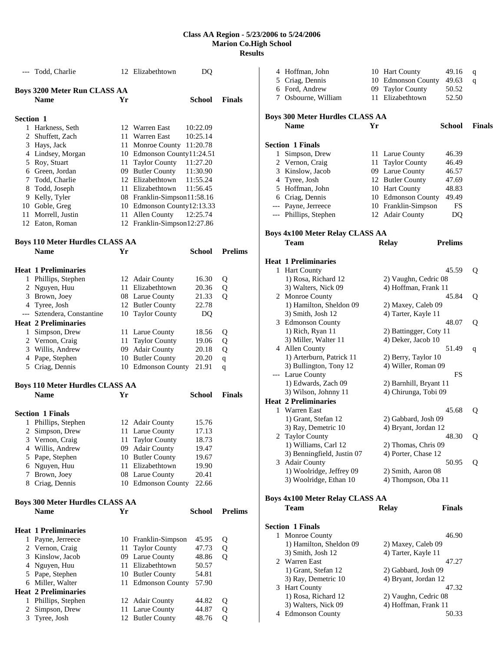|           | --- Todd, Charlie                      |      | 12 Elizabethtown                     | DQ                   |                |
|-----------|----------------------------------------|------|--------------------------------------|----------------------|----------------|
|           | <b>Boys 3200 Meter Run CLASS AA</b>    |      |                                      |                      |                |
|           | <b>Name</b>                            | Yr   |                                      | School               | <b>Finals</b>  |
|           |                                        |      |                                      |                      |                |
| Section 1 |                                        |      |                                      |                      |                |
|           | 1 Harkness, Seth                       |      | 12 Warren East                       | 10:22.09             |                |
|           | 2 Shuffett, Zach                       | 11   | Warren East                          | 10:25.14             |                |
|           | 3 Hays, Jack                           |      | 11 Monroe County 11:20.78            |                      |                |
|           | 4 Lindsey, Morgan                      |      | 10 Edmonson County11:24.51           | 11:27.20             |                |
|           | 5 Roy, Stuart                          |      | 11 Taylor County                     |                      |                |
|           | 6 Green, Jordan<br>7 Todd, Charlie     |      | 09 Butler County<br>12 Elizabethtown | 11:30.90             |                |
|           | 8 Todd, Joseph                         |      | 11 Elizabethtown                     | 11:55.24<br>11:56.45 |                |
|           | 9 Kelly, Tyler                         |      | 08 Franklin-Simpson11:58.16          |                      |                |
|           | 10 Goble, Greg                         |      | 10 Edmonson County12:13.33           |                      |                |
|           | 11 Morrell, Justin                     | 11-  | Allen County                         | 12:25.74             |                |
|           | 12 Eaton, Roman                        |      | 12 Franklin-Simpson12:27.86          |                      |                |
|           |                                        |      |                                      |                      |                |
|           | <b>Boys 110 Meter Hurdles CLASS AA</b> |      |                                      |                      |                |
|           | <b>Name</b>                            | Yr   |                                      | <b>School</b>        | <b>Prelims</b> |
|           |                                        |      |                                      |                      |                |
|           | <b>Heat 1 Preliminaries</b>            |      |                                      |                      |                |
|           | 1 Phillips, Stephen                    |      | 12 Adair County                      | 16.30                | Q              |
|           | 2 Nguyen, Huu                          |      | 11 Elizabethtown                     | 20.36                | Q              |
|           | 3 Brown, Joey                          |      | 08 Larue County                      | 21.33                | Q              |
|           | 4 Tyree, Josh                          |      | 12 Butler County                     | 22.78                |                |
|           | --- Sztendera, Constantine             |      | 10 Taylor County                     | DQ                   |                |
|           | <b>Heat 2 Preliminaries</b>            |      |                                      |                      |                |
|           | 1 Simpson, Drew                        |      | 11 Larue County                      | 18.56                | Q              |
|           | 2 Vernon, Craig                        |      | 11 Taylor County                     | 19.06                | Q              |
|           | 3 Willis, Andrew                       |      | 09 Adair County                      | 20.18                | Q              |
|           | 4 Pape, Stephen                        |      | 10 Butler County                     | 20.20                | q              |
|           | 5 Criag, Dennis                        |      | 10 Edmonson County                   | 21.91                | q              |
|           | <b>Boys 110 Meter Hurdles CLASS AA</b> |      |                                      |                      |                |
|           | <b>Name</b>                            | Yr   |                                      | School               | <b>Finals</b>  |
|           | <b>Section 1 Finals</b>                |      |                                      |                      |                |
|           | 1 Phillips, Stephen                    |      |                                      |                      |                |
|           |                                        |      | 12 Adair County<br>11 Larue County   | 15.76<br>17.13       |                |
| 3         | 2 Simpson, Drew<br>Vernon, Craig       | 11   | <b>Taylor County</b>                 | 18.73                |                |
|           | 4 Willis, Andrew                       | 09   | <b>Adair County</b>                  | 19.47                |                |
|           | 5 Pape, Stephen                        | 10   | <b>Butler County</b>                 | 19.67                |                |
|           | 6 Nguyen, Huu                          | 11   | Elizabethtown                        | 19.90                |                |
| 7         | Brown, Joey                            |      | 08 Larue County                      | 20.41                |                |
| 8         | Criag, Dennis                          |      | 10 Edmonson County                   | 22.66                |                |
|           |                                        |      |                                      |                      |                |
|           | <b>Boys 300 Meter Hurdles CLASS AA</b> |      |                                      |                      |                |
|           | <b>Name</b>                            | Yr   |                                      | <b>School</b>        | <b>Prelims</b> |
|           | <b>Heat 1 Preliminaries</b>            |      |                                      |                      |                |
|           | 1 Payne, Jerreece                      |      | 10 Franklin-Simpson                  | 45.95                | Q              |
|           | 2 Vernon, Craig                        | 11   | <b>Taylor County</b>                 | 47.73                | Q              |
|           | 3 Kinslow, Jacob                       | 09   | Larue County                         | 48.86                | Q              |
|           | 4 Nguyen, Huu                          | 11   | Elizabethtown                        | 50.57                |                |
|           | 5 Pape, Stephen                        |      | 10 Butler County                     | 54.81                |                |
| 6         | Miller, Walter                         | 11   | <b>Edmonson County</b>               | 57.90                |                |
|           | <b>Heat 2 Preliminaries</b>            |      |                                      |                      |                |
| 1         | Phillips, Stephen                      | 12   | <b>Adair County</b>                  | 44.82                | Q              |
| 2         | Simpson, Drew                          | 11 - | Larue County                         | 44.87                | Q              |
| 3         | Tyree, Josh                            | 12   | <b>Butler County</b>                 | 48.76                | Q              |

|                | 4 Hoffman, John<br>5 Criag, Dennis<br>6 Ford, Andrew<br>7 Osbourne, William |    | 10 Hart County<br>10 Edmonson County<br>09 Taylor County<br>11 Elizabethtown | 49.16<br>49.63<br>50.52<br>52.50 | q<br>q        |
|----------------|-----------------------------------------------------------------------------|----|------------------------------------------------------------------------------|----------------------------------|---------------|
|                | <b>Boys 300 Meter Hurdles CLASS AA</b><br><b>Name</b>                       | Yr |                                                                              | School                           | <b>Finals</b> |
|                | <b>Section 1 Finals</b>                                                     |    |                                                                              |                                  |               |
| 1              | Simpson, Drew                                                               |    | 11 Larue County                                                              | 46.39                            |               |
| $\overline{2}$ | Vernon, Craig                                                               |    | 11 Taylor County                                                             | 46.49                            |               |
| 3              | Kinslow, Jacob                                                              |    | 09 Larue County                                                              | 46.57                            |               |
|                | 4 Tyree, Josh                                                               |    | 12 Butler County                                                             | 47.69                            |               |
|                | 5 Hoffman, John                                                             |    | 10 Hart County                                                               | 48.83                            |               |
|                | 6 Criag, Dennis                                                             |    | 10 Edmonson County                                                           | 49.49                            |               |
|                | --- Payne, Jerreece                                                         |    | 10 Franklin-Simpson                                                          | FS                               |               |
|                | --- Phillips, Stephen                                                       |    | 12 Adair County                                                              | DQ                               |               |
|                | <b>Boys 4x100 Meter Relay CLASS AA</b>                                      |    |                                                                              |                                  |               |
|                | Team                                                                        |    | <b>Relay</b>                                                                 | <b>Prelims</b>                   |               |
|                | <b>Heat 1 Preliminaries</b>                                                 |    |                                                                              |                                  |               |
|                | 1 Hart County<br>1) Rosa, Richard 12                                        |    |                                                                              | 45.59                            | Q             |
|                | 3) Walters, Nick 09                                                         |    | 2) Vaughn, Cedric 08<br>4) Hoffman, Frank 11                                 |                                  |               |
|                | 2 Monroe County                                                             |    |                                                                              | 45.84                            | Q             |
|                | 1) Hamilton, Sheldon 09                                                     |    | 2) Maxey, Caleb 09                                                           |                                  |               |
|                | 3) Smith, Josh 12                                                           |    | 4) Tarter, Kayle 11                                                          |                                  |               |
|                | 3 Edmonson County                                                           |    |                                                                              | 48.07                            | Q             |
|                | 1) Rich, Ryan 11                                                            |    | 2) Battingger, Coty 11                                                       |                                  |               |
|                | 3) Miller, Walter 11                                                        |    | 4) Deker, Jacob 10                                                           |                                  |               |
|                | 4 Allen County                                                              |    |                                                                              | 51.49                            | q             |
|                | 1) Arterburn, Patrick 11                                                    |    | 2) Berry, Taylor 10                                                          |                                  |               |
|                | 3) Bullington, Tony 12                                                      |    | 4) Willer, Roman 09                                                          |                                  |               |
|                | --- Larue County                                                            |    |                                                                              | FS                               |               |
|                | 1) Edwards, Zach 09                                                         |    | 2) Barnhill, Bryant 11                                                       |                                  |               |
|                | 3) Wilson, Johnny 11                                                        |    | 4) Chirunga, Tobi 09                                                         |                                  |               |
|                | <b>Heat 2 Preliminaries</b>                                                 |    |                                                                              |                                  |               |
|                | 1 Warren East                                                               |    |                                                                              | 45.68                            | Q             |
|                | 1) Grant, Stefan 12                                                         |    | 2) Gabbard, Josh 09                                                          |                                  |               |
|                | 3) Ray, Demetric 10                                                         |    | 4) Bryant, Jordan 12                                                         |                                  |               |
| 2              | <b>Taylor County</b>                                                        |    |                                                                              | 48.30                            | Q             |
|                | 1) Williams, Carl 12<br>3) Benningfield, Justin 07                          |    | 2) Thomas, Chris 09<br>4) Porter, Chase 12                                   |                                  |               |
|                | 3 Adair County                                                              |    |                                                                              | 50.95                            | Q             |
|                | 1) Woolridge, Jeffrey 09                                                    |    | 2) Smith, Aaron 08                                                           |                                  |               |
|                | 3) Woolridge, Ethan 10                                                      |    | 4) Thompson, Oba 11                                                          |                                  |               |
|                | <b>Boys 4x100 Meter Relay CLASS AA</b>                                      |    |                                                                              |                                  |               |
|                | Team                                                                        |    | <b>Relay</b>                                                                 | <b>Finals</b>                    |               |
|                | <b>Section 1 Finals</b>                                                     |    |                                                                              |                                  |               |
|                | 1 Monroe County                                                             |    |                                                                              | 46.90                            |               |
|                | 1) Hamilton, Sheldon 09                                                     |    | 2) Maxey, Caleb 09                                                           |                                  |               |
|                | 3) Smith, Josh 12                                                           |    | 4) Tarter, Kayle 11                                                          |                                  |               |
|                | 2 Warren East                                                               |    |                                                                              | 47.27                            |               |
|                | 1) Grant, Stefan 12                                                         |    | 2) Gabbard, Josh 09                                                          |                                  |               |
|                | 3) Ray, Demetric 10                                                         |    | 4) Bryant, Jordan 12                                                         |                                  |               |
|                | 3 Hart County                                                               |    |                                                                              | 47.32                            |               |
|                | 1) Rosa, Richard 12                                                         |    | 2) Vaughn, Cedric 08                                                         |                                  |               |
|                | 3) Walters, Nick 09                                                         |    | 4) Hoffman, Frank 11                                                         |                                  |               |
|                | 4 Edmonson County                                                           |    |                                                                              | 50.33                            |               |
|                |                                                                             |    |                                                                              |                                  |               |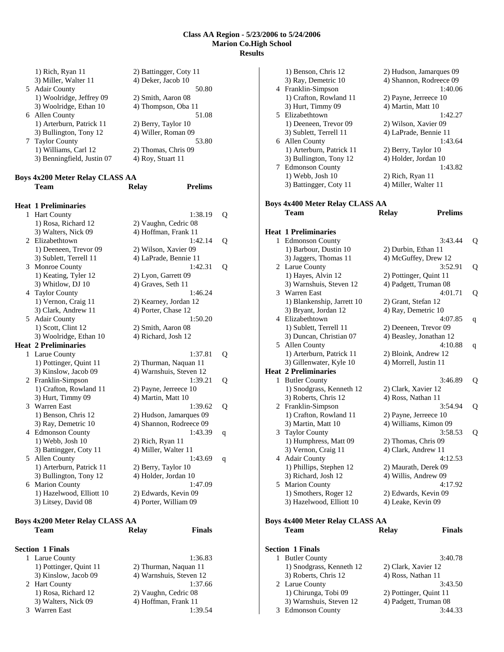|        | 1) Hazelwood, Elliott 10<br>3) Litsey, David 08                                            | 2) Edwards, Kevin 09<br>4) Porter, William 09    |                                                               |              |
|--------|--------------------------------------------------------------------------------------------|--------------------------------------------------|---------------------------------------------------------------|--------------|
|        | 3) Bullington, Tony 12<br>6 Marion County                                                  | 4) Holder, Jordan 10                             | 1:47.09                                                       |              |
|        | 1) Arterburn, Patrick 11                                                                   | 2) Berry, Taylor 10                              |                                                               |              |
|        | 3) Battingger, Coty 11<br>5 Allen County                                                   | 4) Miller, Walter 11                             | 1:43.69                                                       | q            |
|        | 4 Edmonson County<br>1) Webb, Josh 10                                                      | 2) Rich, Ryan 11                                 | 1:43.39                                                       | <sup>q</sup> |
| 3      | Warren East<br>1) Benson, Chris 12<br>3) Ray, Demetric 10                                  |                                                  | 1:39.62<br>2) Hudson, Jamarques 09<br>4) Shannon, Rodreece 09 | Q            |
|        | 2 Franklin-Simpson<br>1) Crafton, Rowland 11<br>3) Hurt, Timmy 09                          | 2) Payne, Jerreece 10<br>4) Martin, Matt 10      | 1:39.21                                                       | Q            |
| 1      | Larue County<br>1) Pottinger, Quint 11<br>3) Kinslow, Jacob 09                             | 2) Thurman, Naquan 11<br>4) Warnshuis, Steven 12 | 1:37.81                                                       | Q            |
|        | <b>Heat 2 Preliminaries</b>                                                                |                                                  |                                                               |              |
| 5      | <b>Adair County</b><br>1) Scott, Clint 12<br>3) Woolridge, Ethan 10                        | 2) Smith, Aaron 08<br>4) Richard, Josh 12        | 1:50.20                                                       |              |
| 4      | <b>Taylor County</b><br>1) Vernon, Craig 11<br>3) Clark, Andrew 11                         | 2) Kearney, Jordan 12<br>4) Porter, Chase 12     | 1:46.24                                                       |              |
| 3      | Monroe County<br>1) Keating, Tyler 12<br>3) Whitlow, DJ 10                                 | 2) Lyon, Garrett 09<br>4) Graves, Seth 11        | 1:42.31                                                       | Q            |
|        | 2 Elizabethtown<br>1) Deeneen, Trevor 09<br>3) Sublett, Terrell 11                         | 2) Wilson, Xavier 09<br>4) LaPrade, Bennie 11    | 1:42.14                                                       | Q            |
| 1      | <b>Hart County</b><br>1) Rosa, Richard 12<br>3) Walters, Nick 09                           | 2) Vaughn, Cedric 08<br>4) Hoffman, Frank 11     | 1:38.19                                                       | Q            |
|        | <b>Heat 1 Preliminaries</b>                                                                |                                                  |                                                               |              |
|        | <b>Boys 4x200 Meter Relay CLASS AA</b><br><b>Team</b>                                      | <b>Relay</b>                                     | <b>Prelims</b>                                                |              |
|        | 1) Williams, Carl 12<br>3) Benningfield, Justin 07                                         | 2) Thomas, Chris 09<br>4) Roy, Stuart 11         |                                                               |              |
| 6<br>7 | Allen County<br>1) Arterburn, Patrick 11<br>3) Bullington, Tony 12<br><b>Taylor County</b> | 2) Berry, Taylor 10<br>4) Willer, Roman 09       | 51.08<br>53.80                                                |              |
|        | 1) Woolridge, Jeffrey 09<br>3) Woolridge, Ethan 10                                         | 2) Smith, Aaron 08<br>4) Thompson, Oba 11        |                                                               |              |
|        | 3) Miller, Walter 11<br>5 Adair County                                                     | 4) Deker, Jacob 10                               | 50.80                                                         |              |

| 1 Larue County         | 1:36.83                 |
|------------------------|-------------------------|
| 1) Pottinger, Quint 11 | 2) Thurman, Naquan 11   |
| 3) Kinslow, Jacob 09   | 4) Warnshuis, Steven 12 |
| 2 Hart County          | 1:37.66                 |
| 1) Rosa, Richard 12    | 2) Vaughn, Cedric 08    |
| 3) Walters, Nick 09    | 4) Hoffman, Frank 11    |
| 3 Warren East          | 1.3954                  |

|   | 1) Benson, Chris 12                              | 2) Hudson, Jamarques 09                        |   |
|---|--------------------------------------------------|------------------------------------------------|---|
|   | 3) Ray, Demetric 10                              | 4) Shannon, Rodreece 09                        |   |
|   | 4 Franklin-Simpson                               | 1:40.06                                        |   |
|   | 1) Crafton, Rowland 11                           | 2) Payne, Jerreece 10                          |   |
|   | 3) Hurt, Timmy 09<br>5 Elizabethtown             | 4) Martin, Matt 10<br>1:42.27                  |   |
|   | 1) Deeneen, Trevor 09                            | 2) Wilson, Xavier 09                           |   |
|   | 3) Sublett, Terrell 11                           | 4) LaPrade, Bennie 11                          |   |
|   | 6 Allen County                                   | 1:43.64                                        |   |
|   | 1) Arterburn, Patrick 11                         | 2) Berry, Taylor 10                            |   |
|   | 3) Bullington, Tony 12                           | 4) Holder, Jordan 10                           |   |
| 7 | <b>Edmonson County</b>                           | 1:43.82                                        |   |
|   | 1) Webb, Josh 10                                 | 2) Rich, Ryan 11                               |   |
|   | 3) Battingger, Coty 11                           | 4) Miller, Walter 11                           |   |
|   | <b>Boys 4x400 Meter Relay CLASS AA</b>           |                                                |   |
|   | Team                                             | <b>Prelims</b><br><b>Relay</b>                 |   |
|   |                                                  |                                                |   |
|   | <b>Heat 1 Preliminaries</b>                      |                                                |   |
| 1 | <b>Edmonson County</b>                           | 3:43.44                                        | Q |
|   | 1) Barbour, Dustin 10                            | 2) Durbin, Ethan 11                            |   |
|   | 3) Jaggers, Thomas 11                            | 4) McGuffey, Drew 12                           |   |
|   | 2 Larue County<br>1) Hayes, Alvin 12             | 3:52.91<br>2) Pottinger, Quint 11              | Q |
|   | 3) Warnshuis, Steven 12                          | 4) Padgett, Truman 08                          |   |
|   | 3 Warren East                                    | 4:01.71                                        | Q |
|   | 1) Blankenship, Jarrett 10                       | 2) Grant, Stefan 12                            |   |
|   | 3) Bryant, Jordan 12                             | 4) Ray, Demetric 10                            |   |
| 4 | Elizabethtown                                    | 4:07.85                                        | q |
|   | 1) Sublett, Terrell 11                           | 2) Deeneen, Trevor 09                          |   |
|   | 3) Duncan, Christian 07                          | 4) Beasley, Jonathan 12                        |   |
| 5 | <b>Allen County</b><br>1) Arterburn, Patrick 11  | 4:10.88<br>2) Bloink, Andrew 12                | q |
|   | 3) Gillenwater, Kyle 10                          | 4) Morrell, Justin 11                          |   |
|   | <b>Heat 2 Preliminaries</b>                      |                                                |   |
| 1 | <b>Butler County</b>                             | 3:46.89                                        | Q |
|   | 1) Snodgrass, Kenneth 12                         | 2) Clark, Xavier 12                            |   |
|   | 3) Roberts, Chris 12                             | 4) Ross, Nathan 11                             |   |
|   | 2 Franklin-Simpson                               | 3:54.94                                        | Q |
|   | 1) Crafton, Rowland 11<br>3) Martin, Matt 10     | 2) Payne, Jerreece 10<br>4) Williams, Kimon 09 |   |
| 3 | <b>Taylor County</b>                             | 3:58.53                                        | Q |
|   | 1) Humphress, Matt 09                            | 2) Thomas, Chris 09                            |   |
|   | 3) Vernon, Craig 11                              | 4) Clark, Andrew 11                            |   |
|   | 4 Adair County                                   | 4:12.53                                        |   |
|   | 1) Phillips, Stephen 12                          | 2) Maurath, Derek 09                           |   |
|   | 3) Richard, Josh 12<br>5 Marion County           | 4) Willis, Andrew 09<br>4:17.92                |   |
|   | 1) Smothers, Roger 12                            | 2) Edwards, Kevin 09                           |   |
|   | 3) Hazelwood, Elliott 10                         | 4) Leake, Kevin 09                             |   |
|   |                                                  |                                                |   |
|   | Boys 4x400 Meter Relay CLASS AA                  |                                                |   |
|   | <b>Team</b>                                      | <b>Finals</b><br><b>Relay</b>                  |   |
|   |                                                  |                                                |   |
|   | <b>Section 1 Finals</b>                          |                                                |   |
| 1 | <b>Butler County</b><br>1) Snodgrass, Kenneth 12 | 3:40.78<br>2) Clark, Xavier 12                 |   |
|   | 3) Roberts, Chris 12                             | 4) Ross, Nathan 11                             |   |
|   | 2 Larue County                                   | 3:43.50                                        |   |
|   | 1) Chirunga, Tobi 09                             | 2) Pottinger, Quint 11                         |   |
|   | 3) Warnshuis, Steven 12                          | 4) Padgett, Truman 08                          |   |
| 3 | <b>Edmonson County</b>                           | 3:44.33                                        |   |